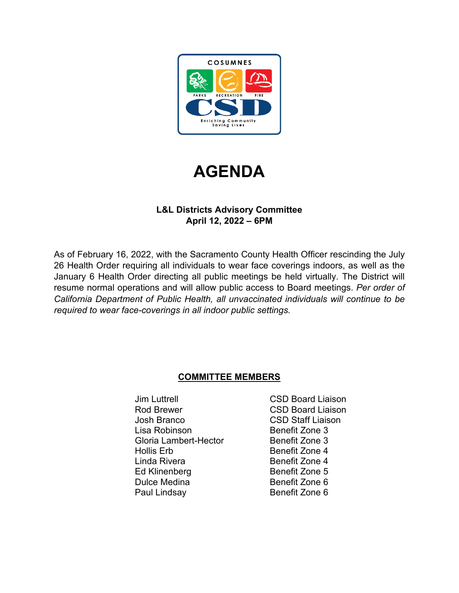

# **AGENDA**

# **L&L Districts Advisory Committee April 12, 2022 – 6PM**

As of February 16, 2022, with the Sacramento County Health Officer rescinding the July 26 Health Order requiring all individuals to wear face coverings indoors, as well as the January 6 Health Order directing all public meetings be held virtually. The District will resume normal operations and will allow public access to Board meetings. *Per order of California Department of Public Health, all unvaccinated individuals will continue to be required to wear face-coverings in all indoor public settings.*

# **COMMITTEE MEMBERS**

- Jim Luttrell CSD Board Liaison Rod Brewer CSD Board Liaison Josh Branco CSD Staff Liaison Lisa Robinson **Benefit Zone 3** Gloria Lambert-Hector Benefit Zone 3 Hollis Erb Benefit Zone 4 Linda Rivera **Benefit Zone 4** Ed Klinenberg Benefit Zone 5<br>
Dulce Medina Benefit Zone 6 Dulce Medina Paul Lindsay **Benefit Zone 6** 
	-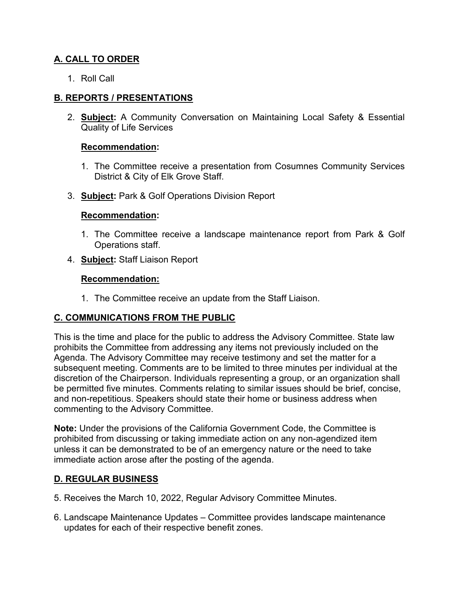## **A. CALL TO ORDER**

1. Roll Call

## **B. REPORTS / PRESENTATIONS**

2. **Subject:** A Community Conversation on Maintaining Local Safety & Essential Quality of Life Services

#### **Recommendation:**

- 1. The Committee receive a presentation from Cosumnes Community Services District & City of Elk Grove Staff.
- 3. **Subject:** Park & Golf Operations Division Report

### **Recommendation:**

- 1. The Committee receive a landscape maintenance report from Park & Golf Operations staff.
- 4. **Subject:** Staff Liaison Report

### **Recommendation:**

1. The Committee receive an update from the Staff Liaison.

## **C. COMMUNICATIONS FROM THE PUBLIC**

This is the time and place for the public to address the Advisory Committee. State law prohibits the Committee from addressing any items not previously included on the Agenda. The Advisory Committee may receive testimony and set the matter for a subsequent meeting. Comments are to be limited to three minutes per individual at the discretion of the Chairperson. Individuals representing a group, or an organization shall be permitted five minutes. Comments relating to similar issues should be brief, concise, and non-repetitious. Speakers should state their home or business address when commenting to the Advisory Committee.

**Note:** Under the provisions of the California Government Code, the Committee is prohibited from discussing or taking immediate action on any non-agendized item unless it can be demonstrated to be of an emergency nature or the need to take immediate action arose after the posting of the agenda.

## **D. REGULAR BUSINESS**

- 5. Receives the March 10, 2022, Regular Advisory Committee Minutes.
- 6. Landscape Maintenance Updates Committee provides landscape maintenance updates for each of their respective benefit zones.